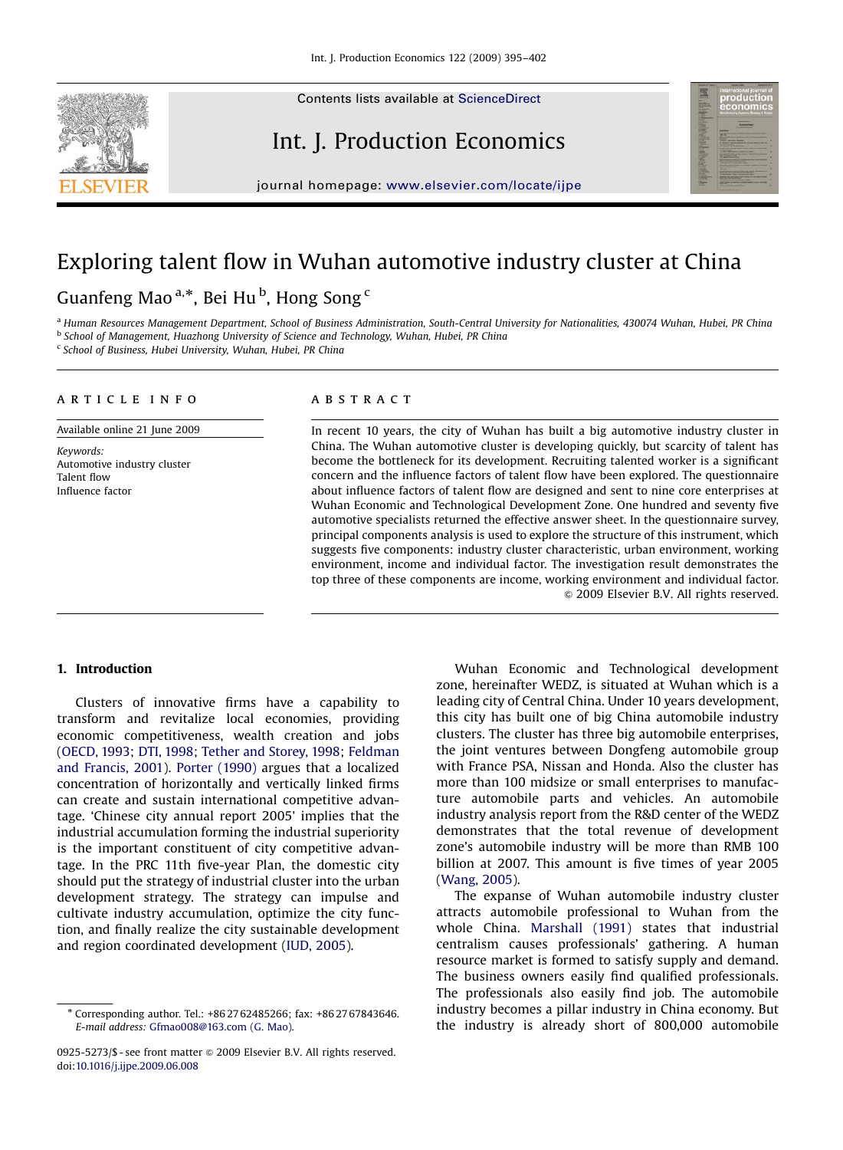Contents lists available at [ScienceDirect](www.sciencedirect.com/science/journal/proeco)







journal homepage: <www.elsevier.com/locate/ijpe>

# Exploring talent flow in Wuhan automotive industry cluster at China

## Guanfeng Mao <sup>a,</sup>\*, Bei Hu <sup>b</sup>, Hong Song <sup>c</sup>

a Human Resources Management Department, School of Business Administration, South-Central University for Nationalities, 430074 Wuhan, Hubei, PR China **b School of Management, Huazhong University of Science and Technology, Wuhan, Hubei, PR China** 

<sup>c</sup> School of Business, Hubei University, Wuhan, Hubei, PR China

### article info

Available online 21 June 2009

Keywords: Automotive industry cluster Talent flow Influence factor

## **ABSTRACT**

In recent 10 years, the city of Wuhan has built a big automotive industry cluster in China. The Wuhan automotive cluster is developing quickly, but scarcity of talent has become the bottleneck for its development. Recruiting talented worker is a significant concern and the influence factors of talent flow have been explored. The questionnaire about influence factors of talent flow are designed and sent to nine core enterprises at Wuhan Economic and Technological Development Zone. One hundred and seventy five automotive specialists returned the effective answer sheet. In the questionnaire survey, principal components analysis is used to explore the structure of this instrument, which suggests five components: industry cluster characteristic, urban environment, working environment, income and individual factor. The investigation result demonstrates the top three of these components are income, working environment and individual factor.  $\odot$  2009 Elsevier B.V. All rights reserved.

#### 1. Introduction

Clusters of innovative firms have a capability to transform and revitalize local economies, providing economic competitiveness, wealth creation and jobs ([OECD, 1993](#page--1-0); [DTI, 1998](#page--1-0); [Tether and Storey, 1998;](#page--1-0) [Feldman](#page--1-0) [and Francis, 2001\)](#page--1-0). [Porter \(1990\)](#page--1-0) argues that a localized concentration of horizontally and vertically linked firms can create and sustain international competitive advantage. 'Chinese city annual report 2005' implies that the industrial accumulation forming the industrial superiority is the important constituent of city competitive advantage. In the PRC 11th five-year Plan, the domestic city should put the strategy of industrial cluster into the urban development strategy. The strategy can impulse and cultivate industry accumulation, optimize the city function, and finally realize the city sustainable development and region coordinated development [\(IUD, 2005\)](#page--1-0).

Wuhan Economic and Technological development zone, hereinafter WEDZ, is situated at Wuhan which is a leading city of Central China. Under 10 years development, this city has built one of big China automobile industry clusters. The cluster has three big automobile enterprises, the joint ventures between Dongfeng automobile group with France PSA, Nissan and Honda. Also the cluster has more than 100 midsize or small enterprises to manufacture automobile parts and vehicles. An automobile industry analysis report from the R&D center of the WEDZ demonstrates that the total revenue of development zone's automobile industry will be more than RMB 100 billion at 2007. This amount is five times of year 2005 [\(Wang, 2005](#page--1-0)).

The expanse of Wuhan automobile industry cluster attracts automobile professional to Wuhan from the whole China. [Marshall \(1991\)](#page--1-0) states that industrial centralism causes professionals' gathering. A human resource market is formed to satisfy supply and demand. The business owners easily find qualified professionals. The professionals also easily find job. The automobile industry becomes a pillar industry in China economy. But the industry is already short of 800,000 automobile

<sup>-</sup> Corresponding author. Tel.: +86 27 62485266; fax: +86 27 67843646. E-mail address: [Gfmao008@163.com \(G. Mao\).](mailto:Gfmao008@163.com)

<sup>0925-5273/\$ -</sup> see front matter  $\odot$  2009 Elsevier B.V. All rights reserved. doi:[10.1016/j.ijpe.2009.06.008](dx.doi.org/10.1016/j.ijpe.2009.06.008)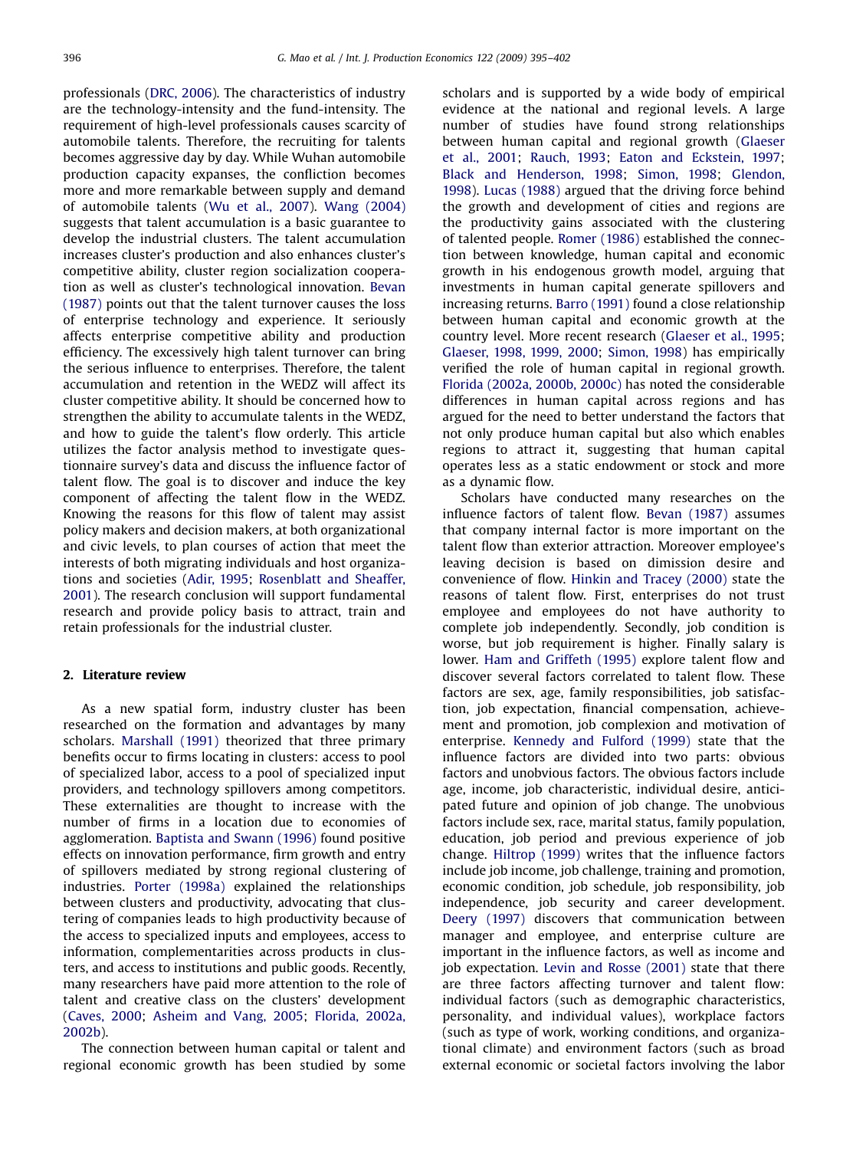professionals ([DRC, 2006\)](#page--1-0). The characteristics of industry are the technology-intensity and the fund-intensity. The requirement of high-level professionals causes scarcity of automobile talents. Therefore, the recruiting for talents becomes aggressive day by day. While Wuhan automobile production capacity expanses, the confliction becomes more and more remarkable between supply and demand of automobile talents ([Wu et al., 2007\)](#page--1-0). [Wang \(2004\)](#page--1-0) suggests that talent accumulation is a basic guarantee to develop the industrial clusters. The talent accumulation increases cluster's production and also enhances cluster's competitive ability, cluster region socialization cooperation as well as cluster's technological innovation. [Bevan](#page--1-0) [\(1987\)](#page--1-0) points out that the talent turnover causes the loss of enterprise technology and experience. It seriously affects enterprise competitive ability and production efficiency. The excessively high talent turnover can bring the serious influence to enterprises. Therefore, the talent accumulation and retention in the WEDZ will affect its cluster competitive ability. It should be concerned how to strengthen the ability to accumulate talents in the WEDZ, and how to guide the talent's flow orderly. This article utilizes the factor analysis method to investigate questionnaire survey's data and discuss the influence factor of talent flow. The goal is to discover and induce the key component of affecting the talent flow in the WEDZ. Knowing the reasons for this flow of talent may assist policy makers and decision makers, at both organizational and civic levels, to plan courses of action that meet the interests of both migrating individuals and host organizations and societies [\(Adir, 1995;](#page--1-0) [Rosenblatt and Sheaffer,](#page--1-0) [2001\)](#page--1-0). The research conclusion will support fundamental research and provide policy basis to attract, train and retain professionals for the industrial cluster.

#### 2. Literature review

As a new spatial form, industry cluster has been researched on the formation and advantages by many scholars. [Marshall \(1991\)](#page--1-0) theorized that three primary benefits occur to firms locating in clusters: access to pool of specialized labor, access to a pool of specialized input providers, and technology spillovers among competitors. These externalities are thought to increase with the number of firms in a location due to economies of agglomeration. [Baptista and Swann \(1996\)](#page--1-0) found positive effects on innovation performance, firm growth and entry of spillovers mediated by strong regional clustering of industries. [Porter \(1998a\)](#page--1-0) explained the relationships between clusters and productivity, advocating that clustering of companies leads to high productivity because of the access to specialized inputs and employees, access to information, complementarities across products in clusters, and access to institutions and public goods. Recently, many researchers have paid more attention to the role of talent and creative class on the clusters' development ([Caves, 2000;](#page--1-0) [Asheim and Vang, 2005](#page--1-0); [Florida, 2002a,](#page--1-0) [2002b](#page--1-0)).

The connection between human capital or talent and regional economic growth has been studied by some scholars and is supported by a wide body of empirical evidence at the national and regional levels. A large number of studies have found strong relationships between human capital and regional growth ([Glaeser](#page--1-0) [et al., 2001](#page--1-0); [Rauch, 1993;](#page--1-0) [Eaton and Eckstein, 1997](#page--1-0); [Black and Henderson, 1998](#page--1-0); [Simon, 1998](#page--1-0); [Glendon,](#page--1-0) [1998\)](#page--1-0). [Lucas \(1988\)](#page--1-0) argued that the driving force behind the growth and development of cities and regions are the productivity gains associated with the clustering of talented people. [Romer \(1986\)](#page--1-0) established the connection between knowledge, human capital and economic growth in his endogenous growth model, arguing that investments in human capital generate spillovers and increasing returns. [Barro \(1991\)](#page--1-0) found a close relationship between human capital and economic growth at the country level. More recent research [\(Glaeser et al., 1995](#page--1-0); [Glaeser, 1998, 1999, 2000](#page--1-0); [Simon, 1998\)](#page--1-0) has empirically verified the role of human capital in regional growth. [Florida \(2002a, 2000b, 2000c\)](#page--1-0) has noted the considerable differences in human capital across regions and has argued for the need to better understand the factors that not only produce human capital but also which enables regions to attract it, suggesting that human capital operates less as a static endowment or stock and more as a dynamic flow.

Scholars have conducted many researches on the influence factors of talent flow. [Bevan \(1987\)](#page--1-0) assumes that company internal factor is more important on the talent flow than exterior attraction. Moreover employee's leaving decision is based on dimission desire and convenience of flow. [Hinkin and Tracey \(2000\)](#page--1-0) state the reasons of talent flow. First, enterprises do not trust employee and employees do not have authority to complete job independently. Secondly, job condition is worse, but job requirement is higher. Finally salary is lower. [Ham and Griffeth \(1995\)](#page--1-0) explore talent flow and discover several factors correlated to talent flow. These factors are sex, age, family responsibilities, job satisfaction, job expectation, financial compensation, achievement and promotion, job complexion and motivation of enterprise. [Kennedy and Fulford \(1999\)](#page--1-0) state that the influence factors are divided into two parts: obvious factors and unobvious factors. The obvious factors include age, income, job characteristic, individual desire, anticipated future and opinion of job change. The unobvious factors include sex, race, marital status, family population, education, job period and previous experience of job change. [Hiltrop \(1999\)](#page--1-0) writes that the influence factors include job income, job challenge, training and promotion, economic condition, job schedule, job responsibility, job independence, job security and career development. [Deery \(1997\)](#page--1-0) discovers that communication between manager and employee, and enterprise culture are important in the influence factors, as well as income and job expectation. [Levin and Rosse \(2001\)](#page--1-0) state that there are three factors affecting turnover and talent flow: individual factors (such as demographic characteristics, personality, and individual values), workplace factors (such as type of work, working conditions, and organizational climate) and environment factors (such as broad external economic or societal factors involving the labor